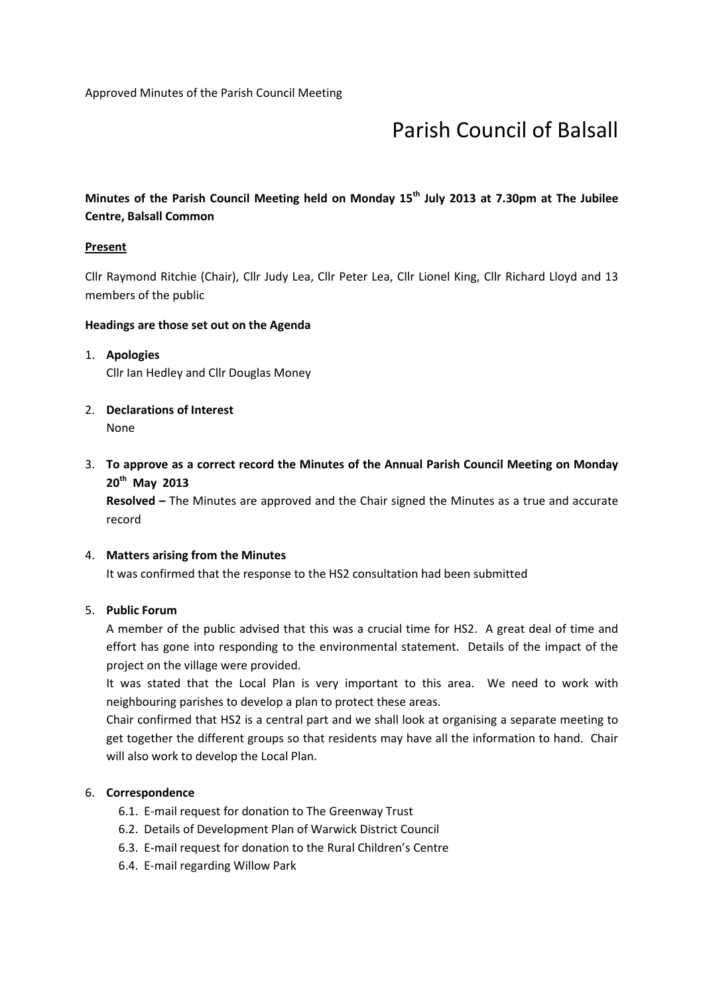# Parish Council of Balsall

## Minutes of the Parish Council Meeting held on Monday 15<sup>th</sup> July 2013 at 7.30pm at The Jubilee Centre, Balsall Common

#### **Present**

Cllr Raymond Ritchie (Chair), Cllr Judy Lea, Cllr Peter Lea, Cllr Lionel King, Cllr Richard Lloyd and 13 members of the public

#### Headings are those set out on the Agenda

# 1. Apologies Cllr Ian Hedley and Cllr Douglas Money

- 2. Declarations of Interest None
- 3. To approve as a correct record the Minutes of the Annual Parish Council Meeting on Monday 20<sup>th</sup> May 2013

Resolved - The Minutes are approved and the Chair signed the Minutes as a true and accurate record

#### 4. Matters arising from the Minutes

It was confirmed that the response to the HS2 consultation had been submitted

#### 5. Public Forum

A member of the public advised that this was a crucial time for HS2. A great deal of time and effort has gone into responding to the environmental statement. Details of the impact of the project on the village were provided.

It was stated that the Local Plan is very important to this area. We need to work with neighbouring parishes to develop a plan to protect these areas.

Chair confirmed that HS2 is a central part and we shall look at organising a separate meeting to get together the different groups so that residents may have all the information to hand. Chair will also work to develop the Local Plan.

#### 6. Correspondence

- 6.1. E-mail request for donation to The Greenway Trust
- 6.2. Details of Development Plan of Warwick District Council
- 6.3. E-mail request for donation to the Rural Children's Centre
- 6.4. E-mail regarding Willow Park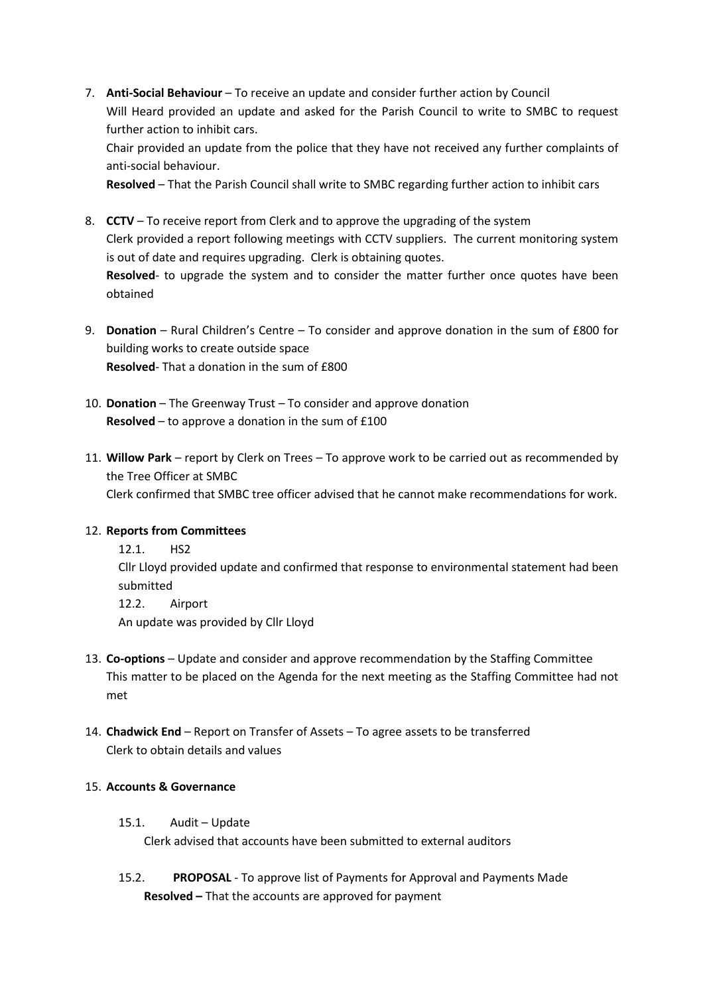7. Anti-Social Behaviour – To receive an update and consider further action by Council Will Heard provided an update and asked for the Parish Council to write to SMBC to request further action to inhibit cars.

Chair provided an update from the police that they have not received any further complaints of anti-social behaviour.

Resolved – That the Parish Council shall write to SMBC regarding further action to inhibit cars

- 8. CCTV To receive report from Clerk and to approve the upgrading of the system Clerk provided a report following meetings with CCTV suppliers. The current monitoring system is out of date and requires upgrading. Clerk is obtaining quotes. Resolved- to upgrade the system and to consider the matter further once quotes have been obtained
- 9. Donation Rural Children's Centre To consider and approve donation in the sum of £800 for building works to create outside space Resolved- That a donation in the sum of £800
- 10. Donation The Greenway Trust To consider and approve donation Resolved – to approve a donation in the sum of £100
- 11. Willow Park report by Clerk on Trees To approve work to be carried out as recommended by the Tree Officer at SMBC Clerk confirmed that SMBC tree officer advised that he cannot make recommendations for work.

## 12. Reports from Committees

12.1. HS2 Cllr Lloyd provided update and confirmed that response to environmental statement had been

submitted 12.2. Airport An update was provided by Cllr Lloyd

- 13. Co-options Update and consider and approve recommendation by the Staffing Committee This matter to be placed on the Agenda for the next meeting as the Staffing Committee had not met
- 14. Chadwick End Report on Transfer of Assets To agree assets to be transferred Clerk to obtain details and values

## 15. Accounts & Governance

- 15.1. Audit Update Clerk advised that accounts have been submitted to external auditors
- 15.2. PROPOSAL To approve list of Payments for Approval and Payments Made Resolved – That the accounts are approved for payment